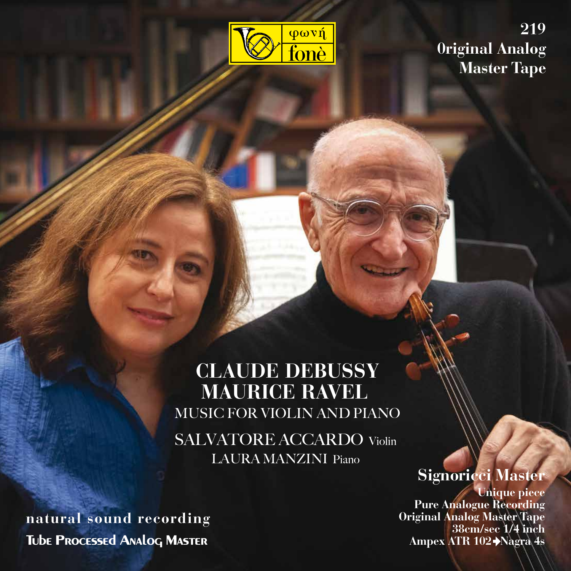

**219 0riginal Analog Master Tape**

# **CLAUDE DEBUSSY MAURICE RAVEL** MUSIC FOR VIOLIN AND PIANO

SALVATORE ACCARDO Violin LAURA MANZINI Piano

# **Signoricci Master**

**Unique piece Pure Analogue Recording Original Analog Master Tape 38cm/sec 1/4 inch Ampex ATR 102 Nagra 4s**

**natural sound recording Tube Processed Analog Master**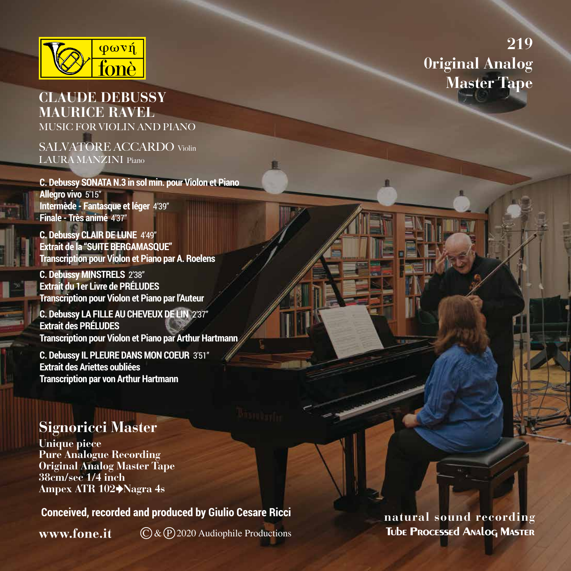

### **CLAUDE DEBUSSY MAURICE RAVEL** MUSIC FOR VIOLIN AND PIANO

SALVATORE ACCARDO Violin LAURA MANZINI Piano

**C. Debussy SONATA N.3 in sol min. pour Violon et Piano Allegro vivo** 5'15" **Intermède - Fantasque et léger 4'39" Finale - Très animé** 4'37"

**C. Debussy CLAIR DE LUNE** 4'49" **Extrait de la "SUITE BERGAMASQUE" Transcription pour Violon et Piano par A. Roelens**

**C. Debussy MINSTRELS** 2'38" **Extrait du 1er Livre de PRÉLUDES Transcription pour Violon et Piano par l'Auteur** 

**C. Debussy LA FILLE AU CHEVEUX DE LIN** 2'37" **Extrait des PRÉLUDES Transcription pour Violon et Piano par Arthur Hartmann** 

**C. Debussy IL PLEURE DANS MON COEUR** 3'51" **Extrait des Ariettes oubliées Transcription par von Arthur Hartmann** 

## **Signoricci Master**

**Unique piece Pure Analogue Recording Original Analog Master Tape 38cm/sec 1/4 inch Ampex ATR 102 Nagra 4s**

 **Conceived, recorded and produced by Giulio Cesare Ricci natural sound recording** 

www.fone.it

 $\mathbb{C}$  &  $\mathbb{P}$  2020 Audiophile Productions

**Tube Processed Analog Master**

# **219 0riginal Analog Master Tape**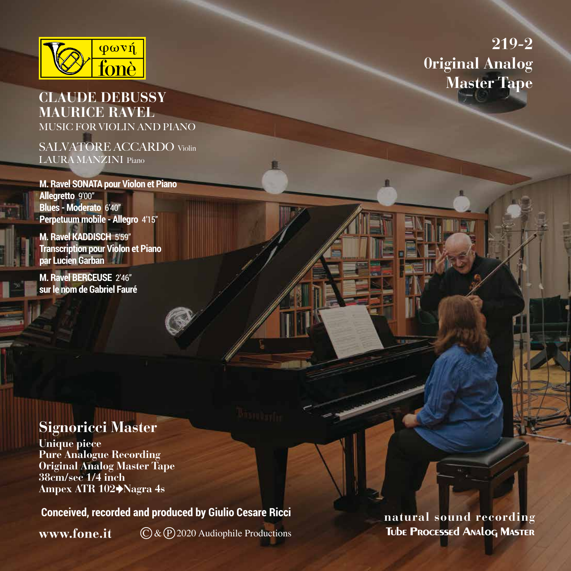

#### **CLAUDE DEBUSSY MAURICE RAVEL** MUSIC FOR VIOLIN AND PIANO

SALVATORE ACCARDO Violin LAURA MANZINI Piano

**M. Ravel SONATA pour Violon et Piano Allegretto** 9'00" **Blues - Moderato** 6'40" **Perpetuum mobile - Allegro** 4'15"

**M. Ravel KADDISCH** 5'59" **Transcription pour Violon et Piano par Lucien Garban**

**M. Ravel BERCEUSE** 2'46" **sur le nom de Gabriel Fauré**

## **Signoricci Master**

**Unique piece Pure Analogue Recording Original Analog Master Tape 38cm/sec 1/4 inch Ampex ATR 102 Nagra 4s**

 **Conceived, recorded and produced by Giulio Cesare Ricci natural sound recording** 

www.fone.it

C & P 2020 Audiophile Productions

**219-2 0riginal Analog Master Tape**

**Tube Processed Analog Master**